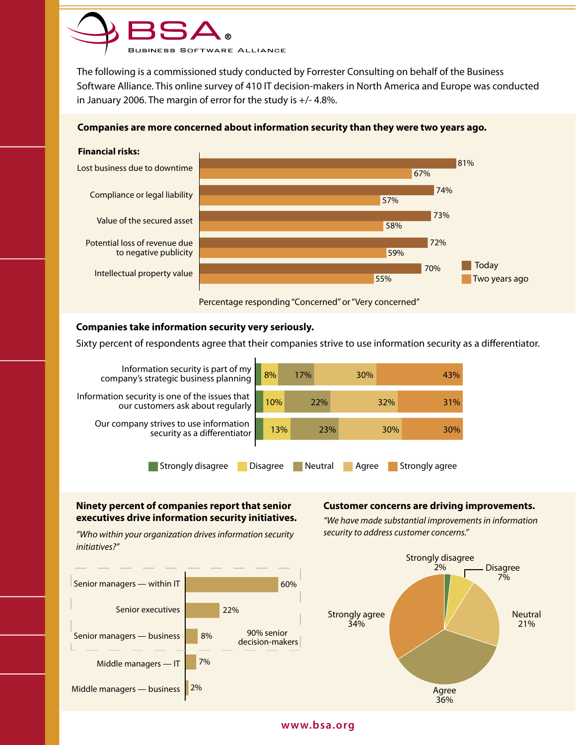

The following is a commissioned study conducted by Forrester Consulting on behalf of the Business Software Alliance. This online survey of 410 IT decision-makers in North America and Europe was conducted in January 2006. The margin of error for the study is  $+/- 4.8\%$ .



# Companies are more concerned about information security than they were two years ago.

### **Companies take information security very seriously.**

Sixty percent of respondents agree that their companies strive to use information security as a differentiator.



## Ninety percent of companies report that senior executives drive information security initiatives.

#### **Customer concerns are driving improvements.**

"We have made substantial improvements in information security to address customer concerns."

> **Disagree**  $7\frac{6}{6}$

> > **Neutral**

21%



"Who within your organization drives information security initiatives?"

Senior managers - within IT

Senior managers - business

Middle managers - business

Middle managers - IT

Senior executives

www.bsa.org